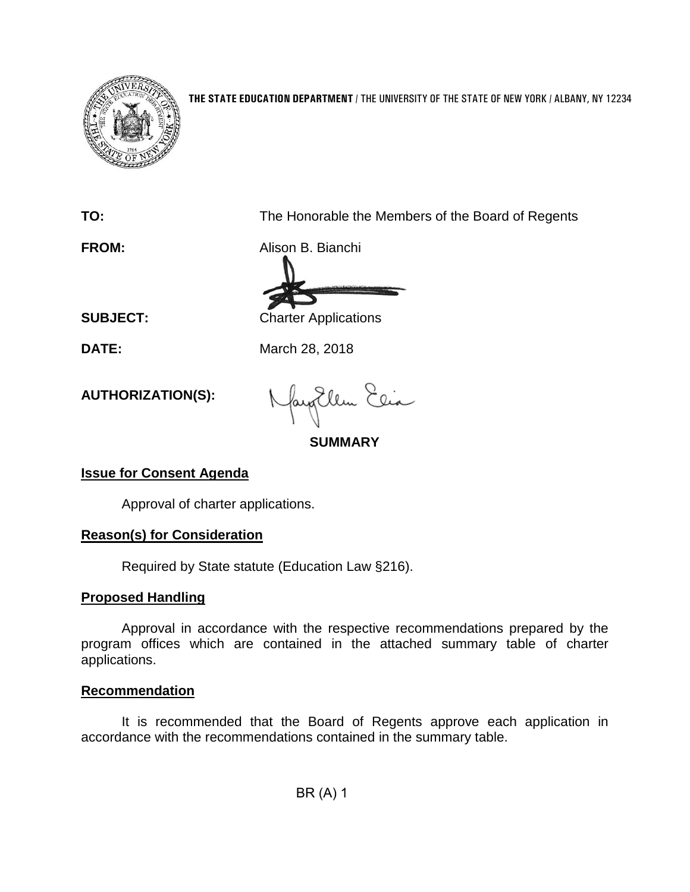

**THE STATE EDUCATION DEPARTMENT** / THE UNIVERSITY OF THE STATE OF NEW YORK / ALBANY, NY 12234

**TO:** The Honorable the Members of the Board of Regents

**FROM:** Alison B. Bianchi

**SUBJECT:** Charter Applications

**DATE:** March 28, 2018

**AUTHORIZATION(S):**

Ellen Elia

**SUMMARY**

## **Issue for Consent Agenda**

Approval of charter applications.

### **Reason(s) for Consideration**

Required by State statute (Education Law §216).

### **Proposed Handling**

Approval in accordance with the respective recommendations prepared by the program offices which are contained in the attached summary table of charter applications.

### **Recommendation**

It is recommended that the Board of Regents approve each application in accordance with the recommendations contained in the summary table.

BR (A) 1